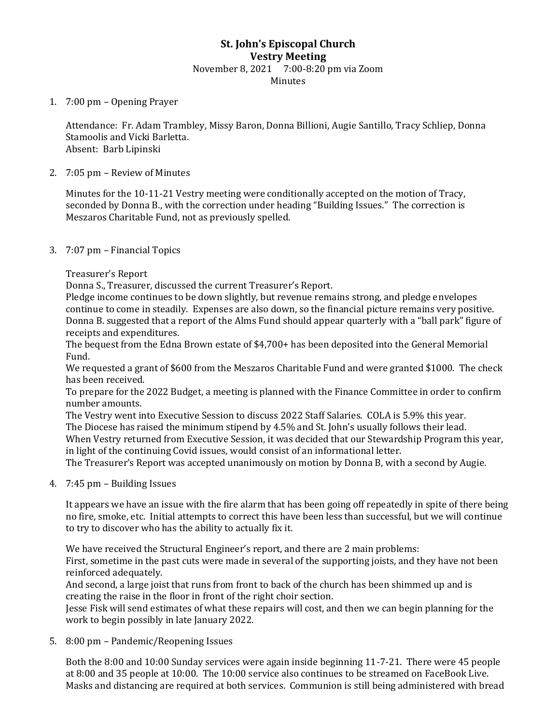# **St. John's Episcopal Church Vestry Meeting** November 8, 2021 7:00-8:20 pm via Zoom Minutes

#### 1. 7:00 pm – Opening Prayer

Attendance: Fr. Adam Trambley, Missy Baron, Donna Billioni, Augie Santillo, Tracy Schliep, Donna Stamoolis and Vicki Barletta. Absent: Barb Lipinski

#### 2. 7:05 pm – Review of Minutes

Minutes for the 10-11-21 Vestry meeting were conditionally accepted on the motion of Tracy, seconded by Donna B., with the correction under heading "Building Issues." The correction is Meszaros Charitable Fund, not as previously spelled.

### 3. 7:07 pm – Financial Topics

Treasurer's Report

Donna S., Treasurer, discussed the current Treasurer's Report.

Pledge income continues to be down slightly, but revenue remains strong, and pledge envelopes continue to come in steadily. Expenses are also down, so the financial picture remains very positive. Donna B. suggested that a report of the Alms Fund should appear quarterly with a "ball park" figure of receipts and expenditures.

The bequest from the Edna Brown estate of \$4,700+ has been deposited into the General Memorial Fund.

We requested a grant of \$600 from the Meszaros Charitable Fund and were granted \$1000. The check has been received.

To prepare for the 2022 Budget, a meeting is planned with the Finance Committee in order to confirm number amounts.

The Vestry went into Executive Session to discuss 2022 Staff Salaries. COLA is 5.9% this year.

The Diocese has raised the minimum stipend by 4.5% and St. John's usually follows their lead.

When Vestry returned from Executive Session, it was decided that our Stewardship Program this year, in light of the continuing Covid issues, would consist of an informational letter.

The Treasurer's Report was accepted unanimously on motion by Donna B, with a second by Augie.

# 4. 7:45 pm – Building Issues

It appears we have an issue with the fire alarm that has been going off repeatedly in spite of there being no fire, smoke, etc. Initial attempts to correct this have been less than successful, but we will continue to try to discover who has the ability to actually fix it.

We have received the Structural Engineer's report, and there are 2 main problems:

First, sometime in the past cuts were made in several of the supporting joists, and they have not been reinforced adequately.

And second, a large joist that runs from front to back of the church has been shimmed up and is creating the raise in the floor in front of the right choir section.

Jesse Fisk will send estimates of what these repairs will cost, and then we can begin planning for the work to begin possibly in late January 2022.

5. 8:00 pm – Pandemic/Reopening Issues

Both the 8:00 and 10:00 Sunday services were again inside beginning 11-7-21. There were 45 people at 8:00 and 35 people at 10:00. The 10:00 service also continues to be streamed on FaceBook Live. Masks and distancing are required at both services. Communion is still being administered with bread